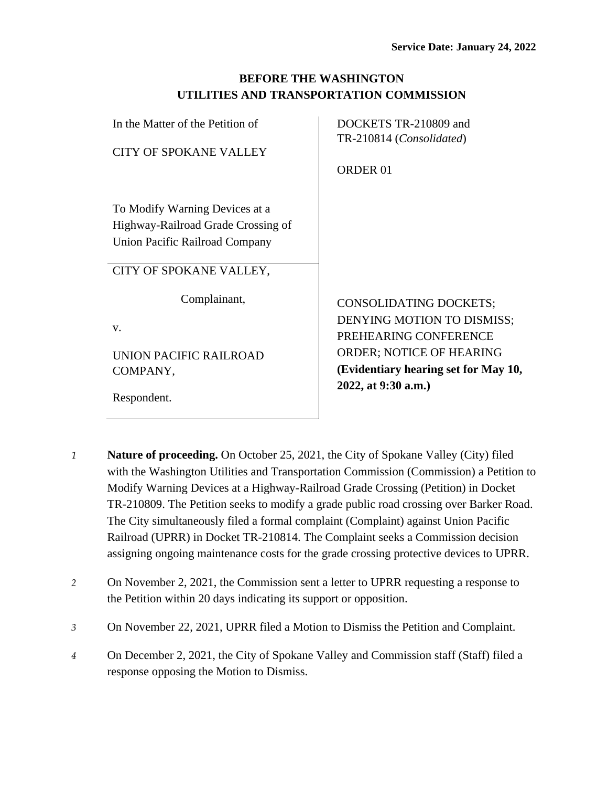| <b>BEFORE THE WASHINGTON</b>            |
|-----------------------------------------|
| UTILITIES AND TRANSPORTATION COMMISSION |

| In the Matter of the Petition of   | DOCKETS TR-210809 and                |
|------------------------------------|--------------------------------------|
|                                    | TR-210814 (Consolidated)             |
| <b>CITY OF SPOKANE VALLEY</b>      |                                      |
|                                    | <b>ORDER 01</b>                      |
|                                    |                                      |
|                                    |                                      |
| To Modify Warning Devices at a     |                                      |
| Highway-Railroad Grade Crossing of |                                      |
| Union Pacific Railroad Company     |                                      |
|                                    |                                      |
| CITY OF SPOKANE VALLEY,            |                                      |
|                                    |                                      |
| Complainant,                       | <b>CONSOLIDATING DOCKETS;</b>        |
|                                    |                                      |
| V.                                 | DENYING MOTION TO DISMISS;           |
|                                    | PREHEARING CONFERENCE                |
| UNION PACIFIC RAILROAD             | <b>ORDER; NOTICE OF HEARING</b>      |
| COMPANY,                           | (Evidentiary hearing set for May 10, |
|                                    | 2022, at 9:30 a.m.)                  |
| Respondent.                        |                                      |

- *1* **Nature of proceeding.** On October 25, 2021, the City of Spokane Valley (City) filed with the Washington Utilities and Transportation Commission (Commission) a Petition to Modify Warning Devices at a Highway-Railroad Grade Crossing (Petition) in Docket TR-210809. The Petition seeks to modify a grade public road crossing over Barker Road. The City simultaneously filed a formal complaint (Complaint) against Union Pacific Railroad (UPRR) in Docket TR-210814. The Complaint seeks a Commission decision assigning ongoing maintenance costs for the grade crossing protective devices to UPRR.
- *2* On November 2, 2021, the Commission sent a letter to UPRR requesting a response to the Petition within 20 days indicating its support or opposition.
- *3* On November 22, 2021, UPRR filed a Motion to Dismiss the Petition and Complaint.
- *4* On December 2, 2021, the City of Spokane Valley and Commission staff (Staff) filed a response opposing the Motion to Dismiss.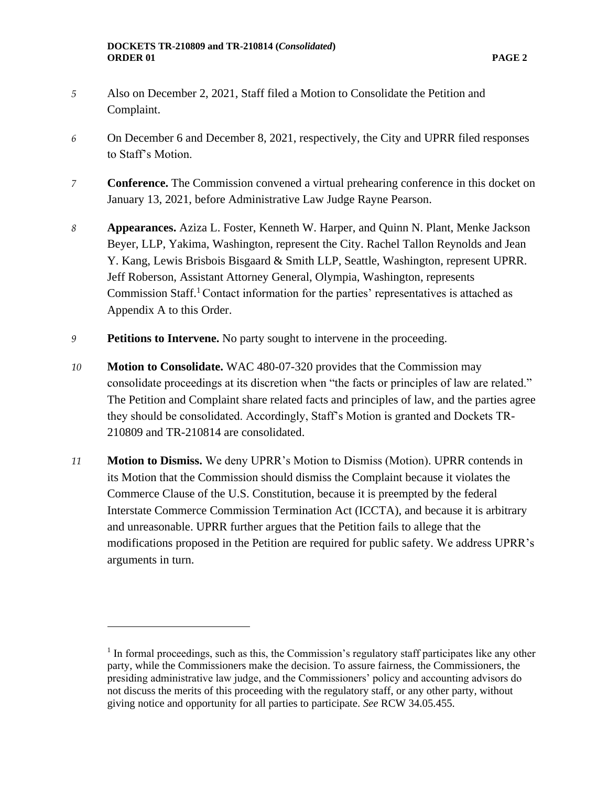- *5* Also on December 2, 2021, Staff filed a Motion to Consolidate the Petition and Complaint.
- *6* On December 6 and December 8, 2021, respectively, the City and UPRR filed responses to Staff's Motion.
- *7* **Conference.** The Commission convened a virtual prehearing conference in this docket on January 13, 2021, before Administrative Law Judge Rayne Pearson.
- *8* **Appearances.** Aziza L. Foster, Kenneth W. Harper, and Quinn N. Plant, Menke Jackson Beyer, LLP, Yakima, Washington, represent the City. Rachel Tallon Reynolds and Jean Y. Kang, Lewis Brisbois Bisgaard & Smith LLP, Seattle, Washington, represent UPRR. Jeff Roberson, Assistant Attorney General, Olympia, Washington, represents Commission Staff.<sup>1</sup> Contact information for the parties' representatives is attached as Appendix A to this Order.
- *9* **Petitions to Intervene.** No party sought to intervene in the proceeding.
- *10* **Motion to Consolidate.** WAC 480-07-320 provides that the Commission may consolidate proceedings at its discretion when "the facts or principles of law are related." The Petition and Complaint share related facts and principles of law, and the parties agree they should be consolidated. Accordingly, Staff's Motion is granted and Dockets TR-210809 and TR-210814 are consolidated.
- *11* **Motion to Dismiss.** We deny UPRR's Motion to Dismiss (Motion). UPRR contends in its Motion that the Commission should dismiss the Complaint because it violates the Commerce Clause of the U.S. Constitution, because it is preempted by the federal Interstate Commerce Commission Termination Act (ICCTA), and because it is arbitrary and unreasonable. UPRR further argues that the Petition fails to allege that the modifications proposed in the Petition are required for public safety. We address UPRR's arguments in turn.

 $<sup>1</sup>$  In formal proceedings, such as this, the Commission's regulatory staff participates like any other</sup> party, while the Commissioners make the decision. To assure fairness, the Commissioners, the presiding administrative law judge, and the Commissioners' policy and accounting advisors do not discuss the merits of this proceeding with the regulatory staff, or any other party, without giving notice and opportunity for all parties to participate. *See* RCW 34.05.455*.*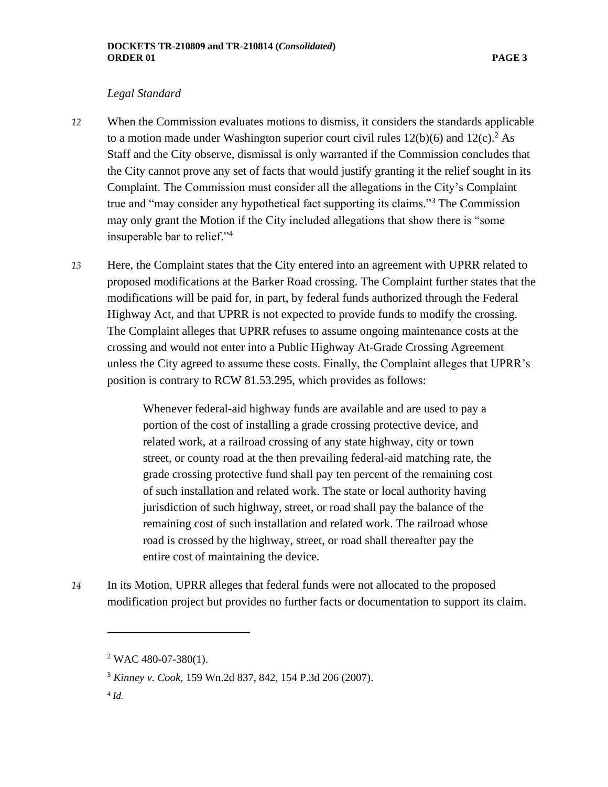### *Legal Standard*

- *12* When the Commission evaluates motions to dismiss, it considers the standards applicable to a motion made under Washington superior court civil rules  $12(b)(6)$  and  $12(c)$ .<sup>2</sup> As Staff and the City observe, dismissal is only warranted if the Commission concludes that the City cannot prove any set of facts that would justify granting it the relief sought in its Complaint. The Commission must consider all the allegations in the City's Complaint true and "may consider any hypothetical fact supporting its claims."<sup>3</sup> The Commission may only grant the Motion if the City included allegations that show there is "some insuperable bar to relief."<sup>4</sup>
- *13* Here, the Complaint states that the City entered into an agreement with UPRR related to proposed modifications at the Barker Road crossing. The Complaint further states that the modifications will be paid for, in part, by federal funds authorized through the Federal Highway Act, and that UPRR is not expected to provide funds to modify the crossing. The Complaint alleges that UPRR refuses to assume ongoing maintenance costs at the crossing and would not enter into a Public Highway At-Grade Crossing Agreement unless the City agreed to assume these costs. Finally, the Complaint alleges that UPRR's position is contrary to RCW 81.53.295, which provides as follows:

Whenever federal-aid highway funds are available and are used to pay a portion of the cost of installing a grade crossing protective device, and related work, at a railroad crossing of any state highway, city or town street, or county road at the then prevailing federal-aid matching rate, the grade crossing protective fund shall pay ten percent of the remaining cost of such installation and related work. The state or local authority having jurisdiction of such highway, street, or road shall pay the balance of the remaining cost of such installation and related work. The railroad whose road is crossed by the highway, street, or road shall thereafter pay the entire cost of maintaining the device.

*14* In its Motion, UPRR alleges that federal funds were not allocated to the proposed modification project but provides no further facts or documentation to support its claim.

4 *Id.*

 $2$  WAC 480-07-380(1).

<sup>3</sup> *Kinney v. Cook*, 159 Wn.2d 837, 842, 154 P.3d 206 (2007).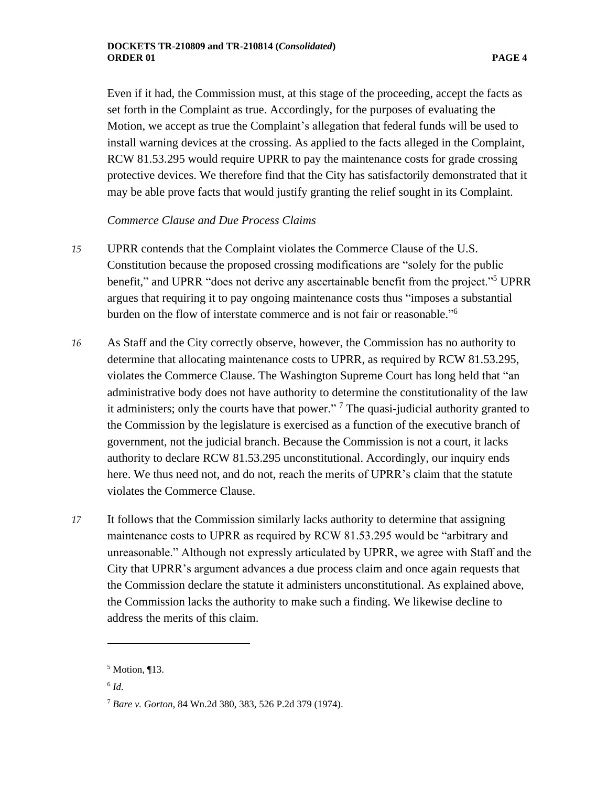Even if it had, the Commission must, at this stage of the proceeding, accept the facts as set forth in the Complaint as true. Accordingly, for the purposes of evaluating the Motion, we accept as true the Complaint's allegation that federal funds will be used to install warning devices at the crossing. As applied to the facts alleged in the Complaint, RCW 81.53.295 would require UPRR to pay the maintenance costs for grade crossing protective devices. We therefore find that the City has satisfactorily demonstrated that it may be able prove facts that would justify granting the relief sought in its Complaint.

## *Commerce Clause and Due Process Claims*

- *15* UPRR contends that the Complaint violates the Commerce Clause of the U.S. Constitution because the proposed crossing modifications are "solely for the public benefit," and UPRR "does not derive any ascertainable benefit from the project."<sup>5</sup> UPRR argues that requiring it to pay ongoing maintenance costs thus "imposes a substantial burden on the flow of interstate commerce and is not fair or reasonable." 6
- *16* As Staff and the City correctly observe, however, the Commission has no authority to determine that allocating maintenance costs to UPRR, as required by RCW 81.53.295, violates the Commerce Clause. The Washington Supreme Court has long held that "an administrative body does not have authority to determine the constitutionality of the law it administers; only the courts have that power."<sup>7</sup> The quasi-judicial authority granted to the Commission by the legislature is exercised as a function of the executive branch of government, not the judicial branch. Because the Commission is not a court, it lacks authority to declare RCW 81.53.295 unconstitutional. Accordingly, our inquiry ends here. We thus need not, and do not, reach the merits of UPRR's claim that the statute violates the Commerce Clause.
- *17* It follows that the Commission similarly lacks authority to determine that assigning maintenance costs to UPRR as required by RCW 81.53.295 would be "arbitrary and unreasonable." Although not expressly articulated by UPRR, we agree with Staff and the City that UPRR's argument advances a due process claim and once again requests that the Commission declare the statute it administers unconstitutional. As explained above, the Commission lacks the authority to make such a finding. We likewise decline to address the merits of this claim.

6 *Id.*

<sup>5</sup> Motion, ¶13.

<sup>7</sup> *Bare v. Gorton*, 84 Wn.2d 380, 383, 526 P.2d 379 (1974).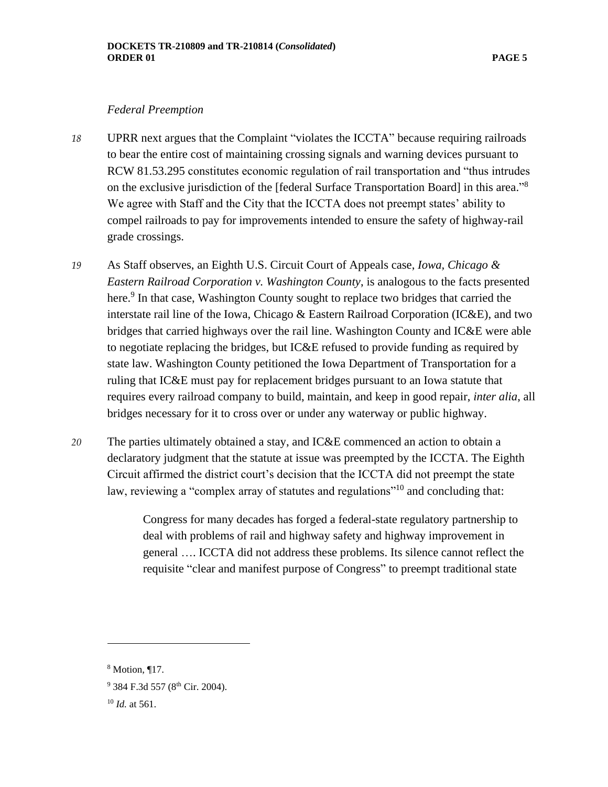#### *Federal Preemption*

- *18* UPRR next argues that the Complaint "violates the ICCTA" because requiring railroads to bear the entire cost of maintaining crossing signals and warning devices pursuant to RCW 81.53.295 constitutes economic regulation of rail transportation and "thus intrudes on the exclusive jurisdiction of the [federal Surface Transportation Board] in this area."<sup>8</sup> We agree with Staff and the City that the ICCTA does not preempt states' ability to compel railroads to pay for improvements intended to ensure the safety of highway-rail grade crossings.
- *19* As Staff observes, an Eighth U.S. Circuit Court of Appeals case, *Iowa, Chicago & Eastern Railroad Corporation v. Washington County*, is analogous to the facts presented here.<sup>9</sup> In that case, Washington County sought to replace two bridges that carried the interstate rail line of the Iowa, Chicago & Eastern Railroad Corporation (IC&E), and two bridges that carried highways over the rail line. Washington County and IC&E were able to negotiate replacing the bridges, but IC&E refused to provide funding as required by state law. Washington County petitioned the Iowa Department of Transportation for a ruling that IC&E must pay for replacement bridges pursuant to an Iowa statute that requires every railroad company to build, maintain, and keep in good repair, *inter alia*, all bridges necessary for it to cross over or under any waterway or public highway.
- *20* The parties ultimately obtained a stay, and IC&E commenced an action to obtain a declaratory judgment that the statute at issue was preempted by the ICCTA. The Eighth Circuit affirmed the district court's decision that the ICCTA did not preempt the state law, reviewing a "complex array of statutes and regulations"<sup>10</sup> and concluding that:

Congress for many decades has forged a federal-state regulatory partnership to deal with problems of rail and highway safety and highway improvement in general …. ICCTA did not address these problems. Its silence cannot reflect the requisite "clear and manifest purpose of Congress" to preempt traditional state

<sup>8</sup> Motion, ¶17.

<sup>&</sup>lt;sup>9</sup> 384 F.3d 557 (8<sup>th</sup> Cir. 2004).

<sup>10</sup> *Id.* at 561.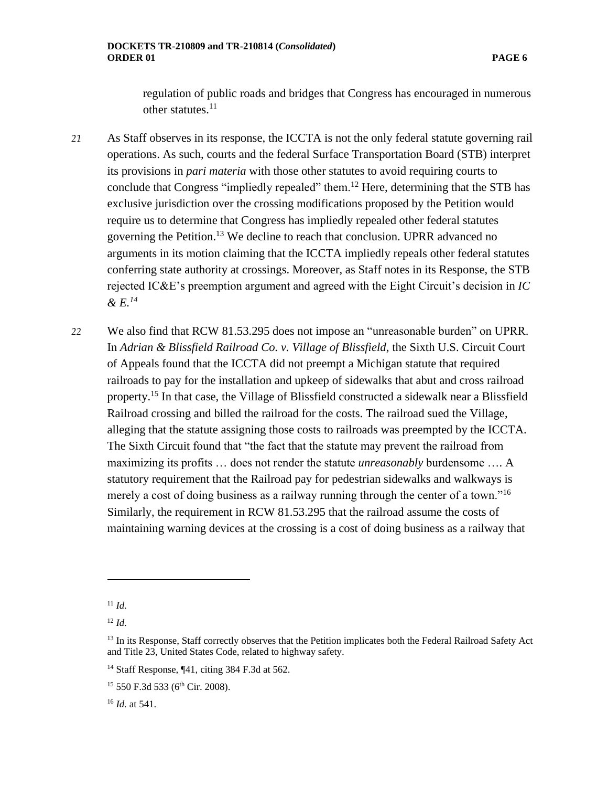regulation of public roads and bridges that Congress has encouraged in numerous other statutes.<sup>11</sup>

- *21* As Staff observes in its response, the ICCTA is not the only federal statute governing rail operations. As such, courts and the federal Surface Transportation Board (STB) interpret its provisions in *pari materia* with those other statutes to avoid requiring courts to conclude that Congress "impliedly repealed" them.<sup>12</sup> Here, determining that the STB has exclusive jurisdiction over the crossing modifications proposed by the Petition would require us to determine that Congress has impliedly repealed other federal statutes governing the Petition.<sup>13</sup> We decline to reach that conclusion. UPRR advanced no arguments in its motion claiming that the ICCTA impliedly repeals other federal statutes conferring state authority at crossings. Moreover, as Staff notes in its Response, the STB rejected IC&E's preemption argument and agreed with the Eight Circuit's decision in *IC & E.<sup>14</sup>*
- *22* We also find that RCW 81.53.295 does not impose an "unreasonable burden" on UPRR. In *Adrian & Blissfield Railroad Co. v. Village of Blissfield*, the Sixth U.S. Circuit Court of Appeals found that the ICCTA did not preempt a Michigan statute that required railroads to pay for the installation and upkeep of sidewalks that abut and cross railroad property.<sup>15</sup> In that case, the Village of Blissfield constructed a sidewalk near a Blissfield Railroad crossing and billed the railroad for the costs. The railroad sued the Village, alleging that the statute assigning those costs to railroads was preempted by the ICCTA. The Sixth Circuit found that "the fact that the statute may prevent the railroad from maximizing its profits … does not render the statute *unreasonably* burdensome …. A statutory requirement that the Railroad pay for pedestrian sidewalks and walkways is merely a cost of doing business as a railway running through the center of a town."<sup>16</sup> Similarly, the requirement in RCW 81.53.295 that the railroad assume the costs of maintaining warning devices at the crossing is a cost of doing business as a railway that

<sup>11</sup> *Id.*

<sup>12</sup> *Id.*

<sup>&</sup>lt;sup>13</sup> In its Response, Staff correctly observes that the Petition implicates both the Federal Railroad Safety Act and Title 23, United States Code, related to highway safety.

<sup>14</sup> Staff Response, ¶41, citing 384 F.3d at 562.

<sup>&</sup>lt;sup>15</sup> 550 F.3d 533 (6<sup>th</sup> Cir. 2008).

<sup>16</sup> *Id.* at 541.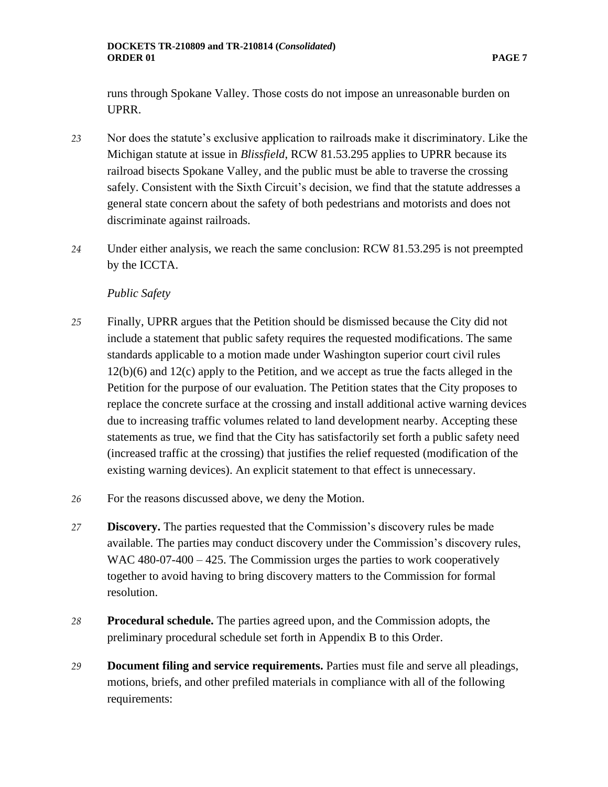runs through Spokane Valley. Those costs do not impose an unreasonable burden on UPRR.

- *23* Nor does the statute's exclusive application to railroads make it discriminatory. Like the Michigan statute at issue in *Blissfield*, RCW 81.53.295 applies to UPRR because its railroad bisects Spokane Valley, and the public must be able to traverse the crossing safely. Consistent with the Sixth Circuit's decision, we find that the statute addresses a general state concern about the safety of both pedestrians and motorists and does not discriminate against railroads.
- *24* Under either analysis, we reach the same conclusion: RCW 81.53.295 is not preempted by the ICCTA.

## *Public Safety*

- *25* Finally, UPRR argues that the Petition should be dismissed because the City did not include a statement that public safety requires the requested modifications. The same standards applicable to a motion made under Washington superior court civil rules 12(b)(6) and 12(c) apply to the Petition, and we accept as true the facts alleged in the Petition for the purpose of our evaluation. The Petition states that the City proposes to replace the concrete surface at the crossing and install additional active warning devices due to increasing traffic volumes related to land development nearby. Accepting these statements as true, we find that the City has satisfactorily set forth a public safety need (increased traffic at the crossing) that justifies the relief requested (modification of the existing warning devices). An explicit statement to that effect is unnecessary.
- *26* For the reasons discussed above, we deny the Motion.
- *27* **Discovery.** The parties requested that the Commission's discovery rules be made available. The parties may conduct discovery under the Commission's discovery rules, WAC 480-07-400 – 425. The Commission urges the parties to work cooperatively together to avoid having to bring discovery matters to the Commission for formal resolution.
- *28* **Procedural schedule.** The parties agreed upon, and the Commission adopts, the preliminary procedural schedule set forth in Appendix B to this Order.
- *29* **Document filing and service requirements.** Parties must file and serve all pleadings, motions, briefs, and other prefiled materials in compliance with all of the following requirements: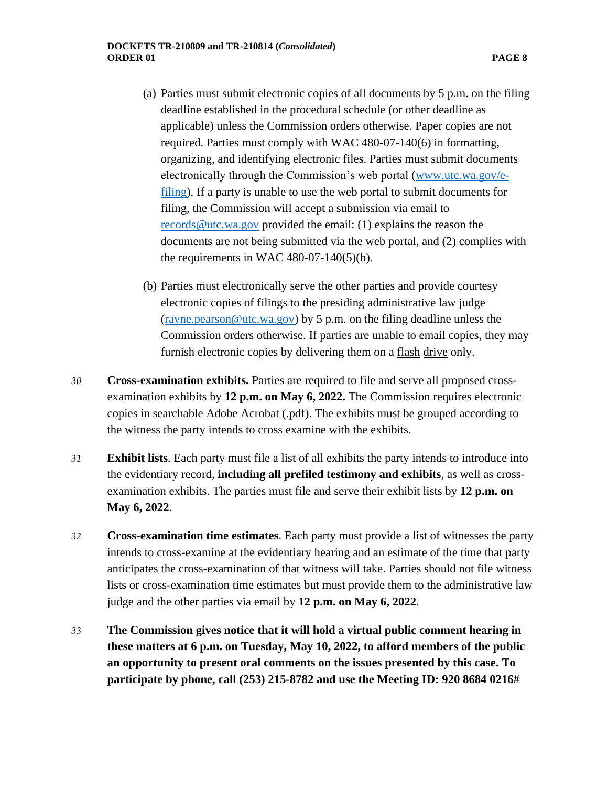- (a) Parties must submit electronic copies of all documents by 5 p.m. on the filing deadline established in the procedural schedule (or other deadline as applicable) unless the Commission orders otherwise. Paper copies are not required. Parties must comply with WAC 480-07-140(6) in formatting, organizing, and identifying electronic files. Parties must submit documents electronically through the Commission's web portal [\(www.utc.wa.gov/e](http://www.utc.wa.gov/e-filing)[filing\)](http://www.utc.wa.gov/e-filing). If a party is unable to use the web portal to submit documents for filing, the Commission will accept a submission via email to [records@utc.wa.gov](mailto:records@utc.wa.gov) provided the email: (1) explains the reason the documents are not being submitted via the web portal, and (2) complies with the requirements in WAC 480-07-140(5)(b).
- (b) Parties must electronically serve the other parties and provide courtesy electronic copies of filings to the presiding administrative law judge [\(rayne.pearson@utc.wa.gov\)](mailto:rayne.pearson@utc.wa.gov) by 5 p.m. on the filing deadline unless the Commission orders otherwise. If parties are unable to email copies, they may furnish electronic copies by delivering them on a flash drive only.
- *30* **Cross-examination exhibits.** Parties are required to file and serve all proposed crossexamination exhibits by **12 p.m. on May 6, 2022.** The Commission requires electronic copies in searchable Adobe Acrobat (.pdf). The exhibits must be grouped according to the witness the party intends to cross examine with the exhibits.
- *31* **Exhibit lists**. Each party must file a list of all exhibits the party intends to introduce into the evidentiary record, **including all prefiled testimony and exhibits**, as well as crossexamination exhibits. The parties must file and serve their exhibit lists by **12 p.m. on May 6, 2022**.
- *32* **Cross-examination time estimates**. Each party must provide a list of witnesses the party intends to cross-examine at the evidentiary hearing and an estimate of the time that party anticipates the cross-examination of that witness will take. Parties should not file witness lists or cross-examination time estimates but must provide them to the administrative law judge and the other parties via email by **12 p.m. on May 6, 2022**.
- *33* **The Commission gives notice that it will hold a virtual public comment hearing in these matters at 6 p.m. on Tuesday, May 10, 2022, to afford members of the public an opportunity to present oral comments on the issues presented by this case. To participate by phone, call (253) 215-8782 and use the Meeting ID: 920 8684 0216#**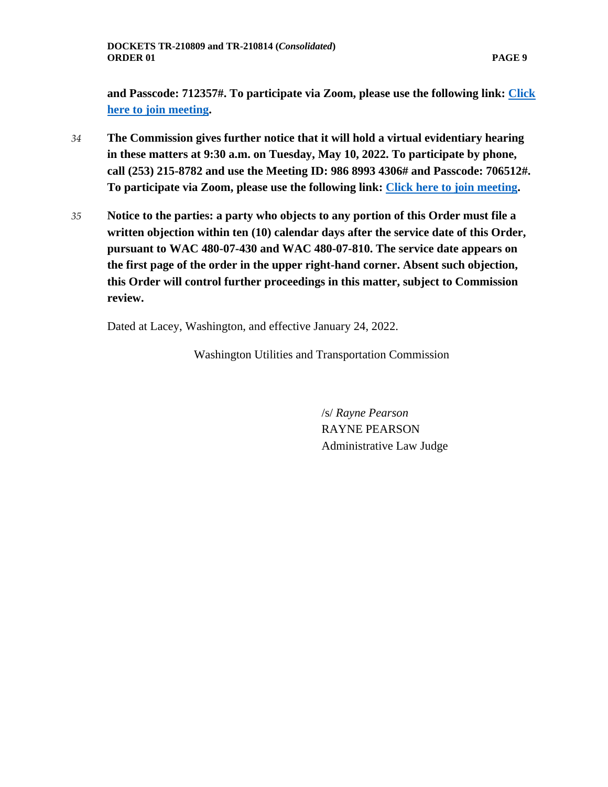**and Passcode: 712357#. To participate via Zoom, please use the following link: [Click](https://utc-wa-gov.zoom.us/j/92086840216?pwd=akMyTFl0M1c5c2NaWmlEdUd0MDc2dz09)  [here to join meeting.](https://utc-wa-gov.zoom.us/j/92086840216?pwd=akMyTFl0M1c5c2NaWmlEdUd0MDc2dz09)**

- *34* **The Commission gives further notice that it will hold a virtual evidentiary hearing in these matters at 9:30 a.m. on Tuesday, May 10, 2022. To participate by phone, call (253) 215-8782 and use the Meeting ID: 986 8993 4306# and Passcode: 706512#. To participate via Zoom, please use the following link: [Click here to join meeting.](https://utc-wa-gov.zoom.us/j/98689934306?pwd=VmpOb1pTRmd6NWYrdEVRZmduOE4xZz09)**
- *35* **Notice to the parties: a party who objects to any portion of this Order must file a written objection within ten (10) calendar days after the service date of this Order, pursuant to WAC 480-07-430 and WAC 480-07-810. The service date appears on the first page of the order in the upper right-hand corner. Absent such objection, this Order will control further proceedings in this matter, subject to Commission review.**

Dated at Lacey, Washington, and effective January 24, 2022.

Washington Utilities and Transportation Commission

/s/ *Rayne Pearson* RAYNE PEARSON Administrative Law Judge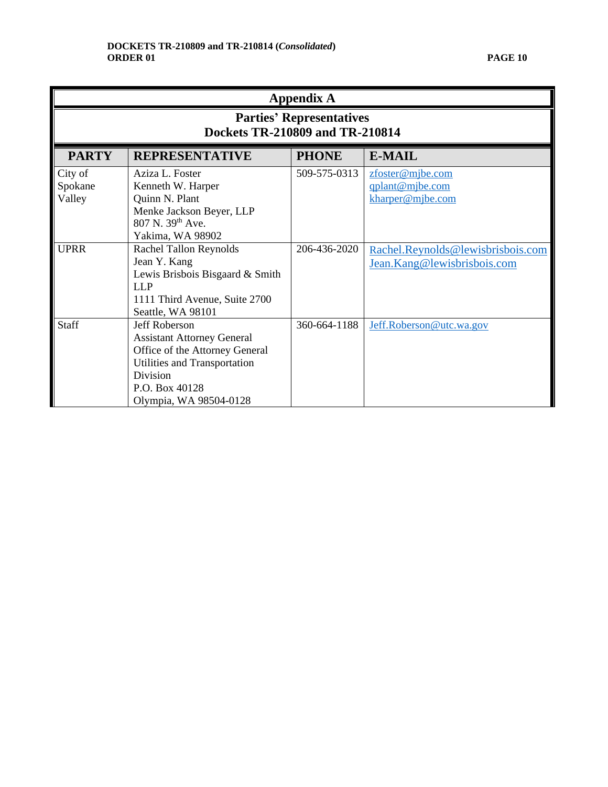| <b>Appendix A</b>                                                  |                                                                                                                                                                              |              |                                                                  |  |
|--------------------------------------------------------------------|------------------------------------------------------------------------------------------------------------------------------------------------------------------------------|--------------|------------------------------------------------------------------|--|
| <b>Parties' Representatives</b><br>Dockets TR-210809 and TR-210814 |                                                                                                                                                                              |              |                                                                  |  |
| <b>PARTY</b>                                                       | <b>REPRESENTATIVE</b>                                                                                                                                                        | <b>PHONE</b> | <b>E-MAIL</b>                                                    |  |
| City of<br>Spokane<br>Valley                                       | Aziza L. Foster<br>Kenneth W. Harper<br>Quinn N. Plant<br>Menke Jackson Beyer, LLP<br>807 N. 39 <sup>th</sup> Ave.<br>Yakima, WA 98902                                       | 509-575-0313 | zfoster@mjbe.com<br>qplant@mjbe.com<br>kharper@mjbe.com          |  |
| <b>UPRR</b>                                                        | <b>Rachel Tallon Reynolds</b><br>Jean Y. Kang<br>Lewis Brisbois Bisgaard & Smith<br>LLP<br>1111 Third Avenue, Suite 2700<br>Seattle, WA 98101                                | 206-436-2020 | Rachel.Reynolds@lewisbrisbois.com<br>Jean.Kang@lewisbrisbois.com |  |
| <b>Staff</b>                                                       | Jeff Roberson<br><b>Assistant Attorney General</b><br>Office of the Attorney General<br>Utilities and Transportation<br>Division<br>P.O. Box 40128<br>Olympia, WA 98504-0128 | 360-664-1188 | Jeff.Roberson@utc.wa.gov                                         |  |